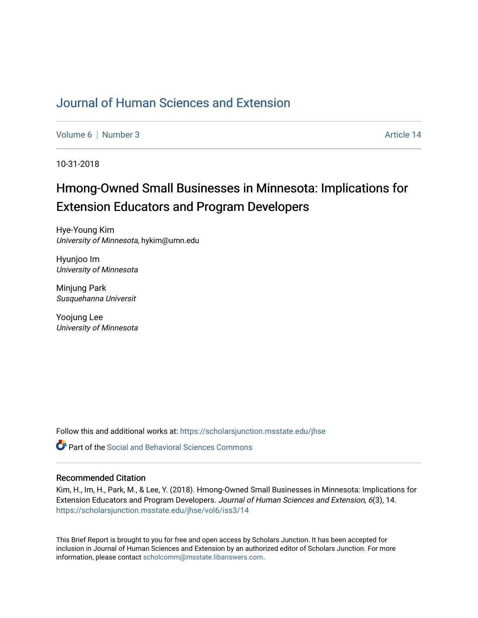# [Journal of Human Sciences and Extension](https://scholarsjunction.msstate.edu/jhse)

[Volume 6](https://scholarsjunction.msstate.edu/jhse/vol6) [Number 3](https://scholarsjunction.msstate.edu/jhse/vol6/iss3) Article 14

10-31-2018

# Hmong-Owned Small Businesses in Minnesota: Implications for Extension Educators and Program Developers

Hye-Young Kim University of Minnesota, hykim@umn.edu

Hyunjoo Im University of Minnesota

Minjung Park Susquehanna Universit

Yoojung Lee University of Minnesota

Follow this and additional works at: [https://scholarsjunction.msstate.edu/jhse](https://scholarsjunction.msstate.edu/jhse?utm_source=scholarsjunction.msstate.edu%2Fjhse%2Fvol6%2Fiss3%2F14&utm_medium=PDF&utm_campaign=PDFCoverPages)

 $\bullet$  Part of the Social and Behavioral Sciences Commons

### Recommended Citation

Kim, H., Im, H., Park, M., & Lee, Y. (2018). Hmong-Owned Small Businesses in Minnesota: Implications for Extension Educators and Program Developers. Journal of Human Sciences and Extension, 6(3), 14. [https://scholarsjunction.msstate.edu/jhse/vol6/iss3/14](https://scholarsjunction.msstate.edu/jhse/vol6/iss3/14?utm_source=scholarsjunction.msstate.edu%2Fjhse%2Fvol6%2Fiss3%2F14&utm_medium=PDF&utm_campaign=PDFCoverPages) 

This Brief Report is brought to you for free and open access by Scholars Junction. It has been accepted for inclusion in Journal of Human Sciences and Extension by an authorized editor of Scholars Junction. For more information, please contact [scholcomm@msstate.libanswers.com](mailto:scholcomm@msstate.libanswers.com).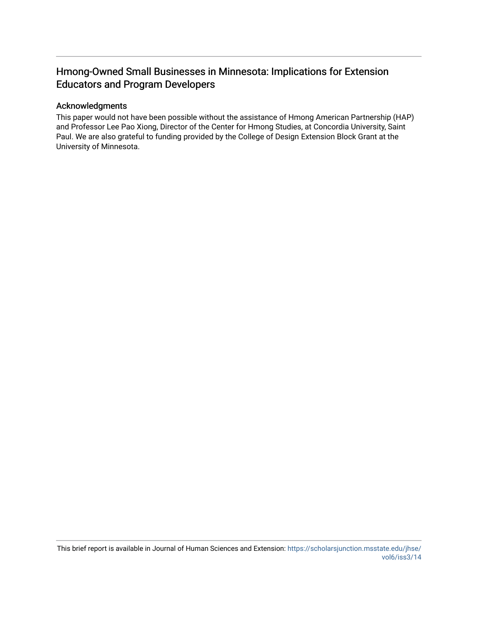# Hmong-Owned Small Businesses in Minnesota: Implications for Extension Educators and Program Developers

## Acknowledgments

This paper would not have been possible without the assistance of Hmong American Partnership (HAP) and Professor Lee Pao Xiong, Director of the Center for Hmong Studies, at Concordia University, Saint Paul. We are also grateful to funding provided by the College of Design Extension Block Grant at the University of Minnesota.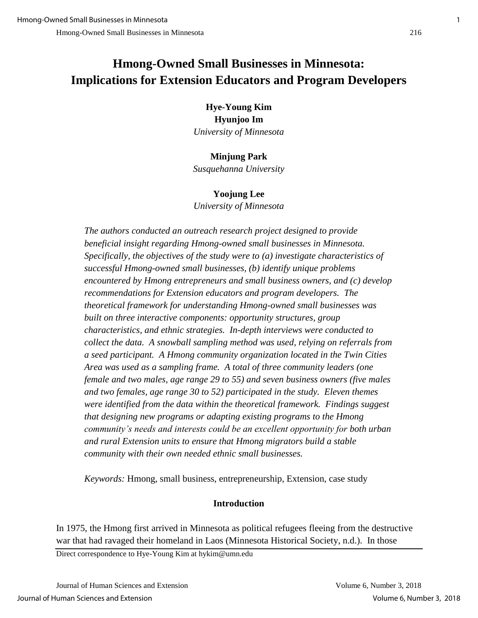# **Hmong-Owned Small Businesses in Minnesota: Implications for Extension Educators and Program Developers**

# **Hye-Young Kim Hyunjoo Im** *University of Minnesota*

# **Minjung Park**

*Susquehanna University*

# **Yoojung Lee**

*University of Minnesota*

*The authors conducted an outreach research project designed to provide beneficial insight regarding Hmong-owned small businesses in Minnesota. Specifically, the objectives of the study were to (a) investigate characteristics of successful Hmong-owned small businesses, (b) identify unique problems encountered by Hmong entrepreneurs and small business owners, and (c) develop recommendations for Extension educators and program developers. The theoretical framework for understanding Hmong-owned small businesses was built on three interactive components: opportunity structures, group characteristics, and ethnic strategies. In-depth interviews were conducted to collect the data. A snowball sampling method was used, relying on referrals from a seed participant. A Hmong community organization located in the Twin Cities Area was used as a sampling frame. A total of three community leaders (one female and two males, age range 29 to 55) and seven business owners (five males and two females, age range 30 to 52) participated in the study. Eleven themes were identified from the data within the theoretical framework. Findings suggest that designing new programs or adapting existing programs to the Hmong community's needs and interests could be an excellent opportunity for both urban and rural Extension units to ensure that Hmong migrators build a stable community with their own needed ethnic small businesses.*

*Keywords:* Hmong, small business, entrepreneurship, Extension, case study

# **Introduction**

In 1975, the Hmong first arrived in Minnesota as political refugees fleeing from the destructive war that had ravaged their homeland in Laos (Minnesota Historical Society, n.d.). In those

Direct correspondence to Hye-Young Kim at hykim@umn.edu

Journal of Human Sciences and Extension Volume 6, Number 3, 2018 Journal of Human Sciences and Extension Volume 6, Number 3, 2018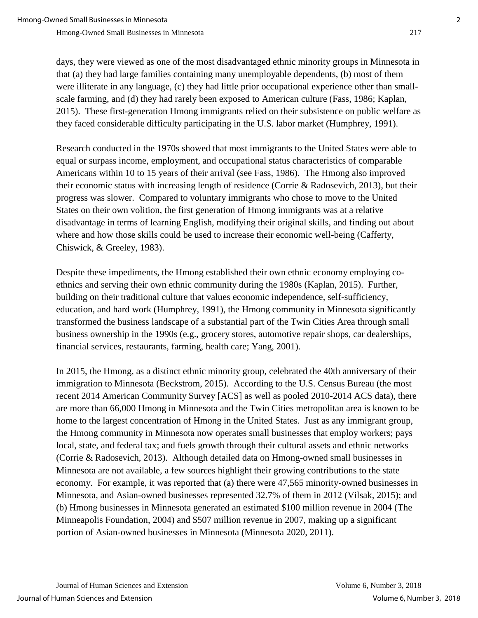days, they were viewed as one of the most disadvantaged ethnic minority groups in Minnesota in that (a) they had large families containing many unemployable dependents, (b) most of them were illiterate in any language, (c) they had little prior occupational experience other than smallscale farming, and (d) they had rarely been exposed to American culture (Fass, 1986; Kaplan, 2015). These first-generation Hmong immigrants relied on their subsistence on public welfare as they faced considerable difficulty participating in the U.S. labor market (Humphrey, 1991).

Research conducted in the 1970s showed that most immigrants to the United States were able to equal or surpass income, employment, and occupational status characteristics of comparable Americans within 10 to 15 years of their arrival (see Fass, 1986). The Hmong also improved their economic status with increasing length of residence (Corrie & Radosevich, 2013), but their progress was slower. Compared to voluntary immigrants who chose to move to the United States on their own volition, the first generation of Hmong immigrants was at a relative disadvantage in terms of learning English, modifying their original skills, and finding out about where and how those skills could be used to increase their economic well-being (Cafferty, Chiswick, & Greeley, 1983).

Despite these impediments, the Hmong established their own ethnic economy employing coethnics and serving their own ethnic community during the 1980s (Kaplan, 2015). Further, building on their traditional culture that values economic independence, self-sufficiency, education, and hard work (Humphrey, 1991), the Hmong community in Minnesota significantly transformed the business landscape of a substantial part of the Twin Cities Area through small business ownership in the 1990s (e.g., grocery stores, automotive repair shops, car dealerships, financial services, restaurants, farming, health care; Yang, 2001).

In 2015, the Hmong, as a distinct ethnic minority group, celebrated the 40th anniversary of their immigration to Minnesota (Beckstrom, 2015). According to the U.S. Census Bureau (the most recent 2014 American Community Survey [ACS] as well as pooled 2010-2014 ACS data), there are more than 66,000 Hmong in Minnesota and the Twin Cities metropolitan area is known to be home to the largest concentration of Hmong in the United States. Just as any immigrant group, the Hmong community in Minnesota now operates small businesses that employ workers; pays local, state, and federal tax; and fuels growth through their cultural assets and ethnic networks (Corrie & Radosevich, 2013). Although detailed data on Hmong-owned small businesses in Minnesota are not available, a few sources highlight their growing contributions to the state economy. For example, it was reported that (a) there were 47,565 minority-owned businesses in Minnesota, and Asian-owned businesses represented 32.7% of them in 2012 (Vilsak, 2015); and (b) Hmong businesses in Minnesota generated an estimated \$100 million revenue in 2004 (The Minneapolis Foundation, 2004) and \$507 million revenue in 2007, making up a significant portion of Asian-owned businesses in Minnesota (Minnesota 2020, 2011).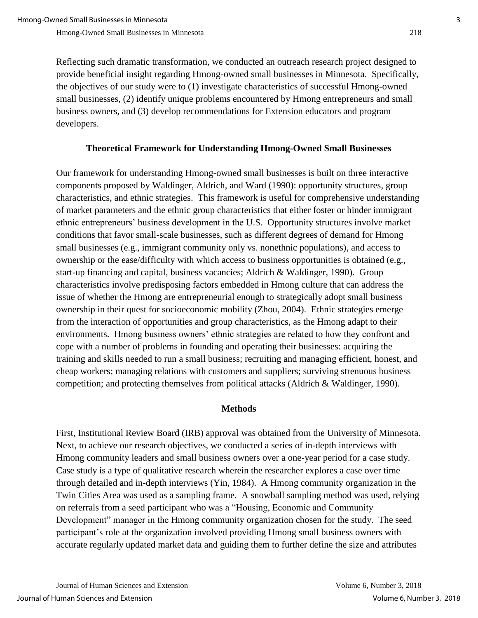Reflecting such dramatic transformation, we conducted an outreach research project designed to provide beneficial insight regarding Hmong-owned small businesses in Minnesota. Specifically, the objectives of our study were to (1) investigate characteristics of successful Hmong-owned small businesses, (2) identify unique problems encountered by Hmong entrepreneurs and small business owners, and (3) develop recommendations for Extension educators and program developers.

## **Theoretical Framework for Understanding Hmong-Owned Small Businesses**

Our framework for understanding Hmong-owned small businesses is built on three interactive components proposed by Waldinger, Aldrich, and Ward (1990): opportunity structures, group characteristics, and ethnic strategies. This framework is useful for comprehensive understanding of market parameters and the ethnic group characteristics that either foster or hinder immigrant ethnic entrepreneurs' business development in the U.S. Opportunity structures involve market conditions that favor small-scale businesses, such as different degrees of demand for Hmong small businesses (e.g., immigrant community only vs. nonethnic populations), and access to ownership or the ease/difficulty with which access to business opportunities is obtained (e.g., start-up financing and capital, business vacancies; Aldrich & Waldinger, 1990). Group characteristics involve predisposing factors embedded in Hmong culture that can address the issue of whether the Hmong are entrepreneurial enough to strategically adopt small business ownership in their quest for socioeconomic mobility (Zhou, 2004). Ethnic strategies emerge from the interaction of opportunities and group characteristics, as the Hmong adapt to their environments. Hmong business owners' ethnic strategies are related to how they confront and cope with a number of problems in founding and operating their businesses: acquiring the training and skills needed to run a small business; recruiting and managing efficient, honest, and cheap workers; managing relations with customers and suppliers; surviving strenuous business competition; and protecting themselves from political attacks (Aldrich & Waldinger, 1990).

### **Methods**

First, Institutional Review Board (IRB) approval was obtained from the University of Minnesota. Next, to achieve our research objectives, we conducted a series of in-depth interviews with Hmong community leaders and small business owners over a one-year period for a case study. Case study is a type of qualitative research wherein the researcher explores a case over time through detailed and in-depth interviews (Yin, 1984). A Hmong community organization in the Twin Cities Area was used as a sampling frame. A snowball sampling method was used, relying on referrals from a seed participant who was a "Housing, Economic and Community Development" manager in the Hmong community organization chosen for the study. The seed participant's role at the organization involved providing Hmong small business owners with accurate regularly updated market data and guiding them to further define the size and attributes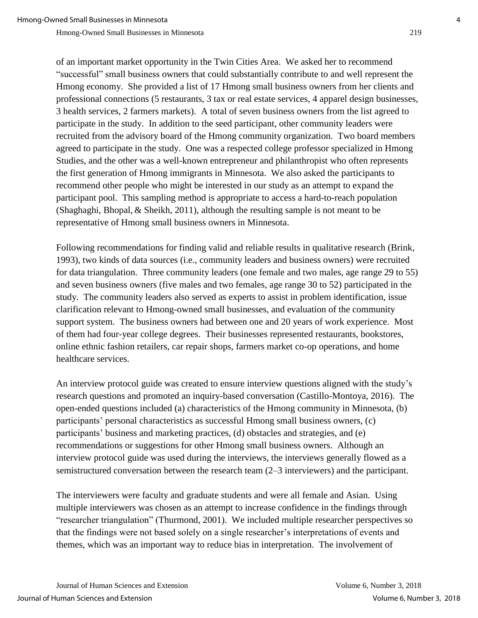of an important market opportunity in the Twin Cities Area. We asked her to recommend "successful" small business owners that could substantially contribute to and well represent the Hmong economy. She provided a list of 17 Hmong small business owners from her clients and professional connections (5 restaurants, 3 tax or real estate services, 4 apparel design businesses, 3 health services, 2 farmers markets). A total of seven business owners from the list agreed to participate in the study. In addition to the seed participant, other community leaders were recruited from the advisory board of the Hmong community organization. Two board members agreed to participate in the study. One was a respected college professor specialized in Hmong Studies, and the other was a well-known entrepreneur and philanthropist who often represents the first generation of Hmong immigrants in Minnesota. We also asked the participants to recommend other people who might be interested in our study as an attempt to expand the participant pool. This sampling method is appropriate to access a hard-to-reach population (Shaghaghi, Bhopal, & Sheikh, 2011), although the resulting sample is not meant to be representative of Hmong small business owners in Minnesota.

Following recommendations for finding valid and reliable results in qualitative research (Brink, 1993), two kinds of data sources (i.e., community leaders and business owners) were recruited for data triangulation. Three community leaders (one female and two males, age range 29 to 55) and seven business owners (five males and two females, age range 30 to 52) participated in the study. The community leaders also served as experts to assist in problem identification, issue clarification relevant to Hmong-owned small businesses, and evaluation of the community support system. The business owners had between one and 20 years of work experience. Most of them had four-year college degrees. Their businesses represented restaurants, bookstores, online ethnic fashion retailers, car repair shops, farmers market co-op operations, and home healthcare services.

An interview protocol guide was created to ensure interview questions aligned with the study's research questions and promoted an inquiry-based conversation (Castillo-Montoya, 2016). The open-ended questions included (a) characteristics of the Hmong community in Minnesota, (b) participants' personal characteristics as successful Hmong small business owners, (c) participants' business and marketing practices, (d) obstacles and strategies, and (e) recommendations or suggestions for other Hmong small business owners. Although an interview protocol guide was used during the interviews, the interviews generally flowed as a semistructured conversation between the research team (2–3 interviewers) and the participant.

The interviewers were faculty and graduate students and were all female and Asian. Using multiple interviewers was chosen as an attempt to increase confidence in the findings through "researcher triangulation" (Thurmond, 2001). We included multiple researcher perspectives so that the findings were not based solely on a single researcher's interpretations of events and themes, which was an important way to reduce bias in interpretation. The involvement of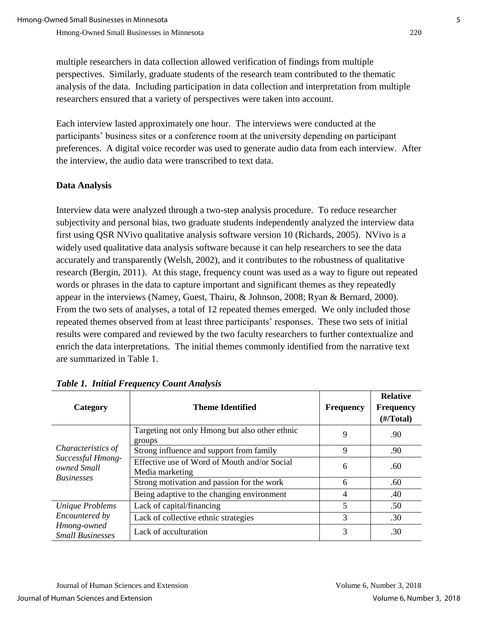multiple researchers in data collection allowed verification of findings from multiple perspectives. Similarly, graduate students of the research team contributed to the thematic analysis of the data. Including participation in data collection and interpretation from multiple researchers ensured that a variety of perspectives were taken into account.

Each interview lasted approximately one hour. The interviews were conducted at the participants' business sites or a conference room at the university depending on participant preferences. A digital voice recorder was used to generate audio data from each interview. After the interview, the audio data were transcribed to text data.

## **Data Analysis**

Interview data were analyzed through a two-step analysis procedure. To reduce researcher subjectivity and personal bias, two graduate students independently analyzed the interview data first using QSR NVivo qualitative analysis software version 10 (Richards, 2005). NVivo is a widely used qualitative data analysis software because it can help researchers to see the data accurately and transparently (Welsh, 2002), and it contributes to the robustness of qualitative research (Bergin, 2011). At this stage, frequency count was used as a way to figure out repeated words or phrases in the data to capture important and significant themes as they repeatedly appear in the interviews (Namey, Guest, Thairu, & Johnson, 2008; Ryan & Bernard, 2000). From the two sets of analyses, a total of 12 repeated themes emerged. We only included those repeated themes observed from at least three participants' responses. These two sets of initial results were compared and reviewed by the two faculty researchers to further contextualize and enrich the data interpretations. The initial themes commonly identified from the narrative text are summarized in Table 1.

| Category                                                                    | <b>Theme Identified</b>                                         | <b>Frequency</b> | <b>Relative</b><br><b>Frequency</b><br>$(\frac{\#}{\text{Total}})$ |
|-----------------------------------------------------------------------------|-----------------------------------------------------------------|------------------|--------------------------------------------------------------------|
| Characteristics of<br>Successful Hmong-<br>owned Small<br><b>Businesses</b> | Targeting not only Hmong but also other ethnic<br>groups        | 9                | .90                                                                |
|                                                                             | Strong influence and support from family                        | 9                | .90                                                                |
|                                                                             | Effective use of Word of Mouth and/or Social<br>Media marketing | 6                | .60                                                                |
|                                                                             | Strong motivation and passion for the work                      | 6                | .60                                                                |
|                                                                             | Being adaptive to the changing environment                      | 4                | .40                                                                |
| Unique Problems                                                             | Lack of capital/financing                                       | 5                | .50                                                                |
| Encountered by                                                              | Lack of collective ethnic strategies                            | 3                | .30                                                                |
| Hmong-owned<br><b>Small Businesses</b>                                      | Lack of acculturation                                           | 3                | .30                                                                |

## *Table 1. Initial Frequency Count Analysis*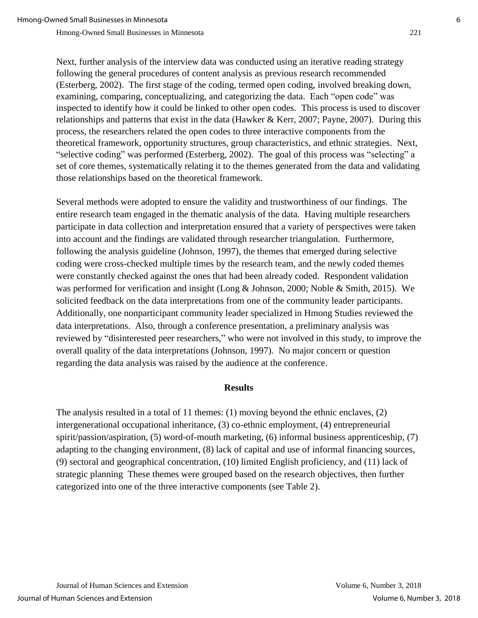Next, further analysis of the interview data was conducted using an iterative reading strategy following the general procedures of content analysis as previous research recommended (Esterberg, 2002). The first stage of the coding, termed open coding, involved breaking down, examining, comparing, conceptualizing, and categorizing the data. Each "open code" was inspected to identify how it could be linked to other open codes. This process is used to discover relationships and patterns that exist in the data (Hawker & Kerr, 2007; Payne, 2007). During this process, the researchers related the open codes to three interactive components from the theoretical framework, opportunity structures, group characteristics, and ethnic strategies. Next, "selective coding" was performed (Esterberg, 2002). The goal of this process was "selecting" a set of core themes, systematically relating it to the themes generated from the data and validating those relationships based on the theoretical framework.

Several methods were adopted to ensure the validity and trustworthiness of our findings. The entire research team engaged in the thematic analysis of the data. Having multiple researchers participate in data collection and interpretation ensured that a variety of perspectives were taken into account and the findings are validated through researcher triangulation. Furthermore, following the analysis guideline (Johnson, 1997), the themes that emerged during selective coding were cross-checked multiple times by the research team, and the newly coded themes were constantly checked against the ones that had been already coded. Respondent validation was performed for verification and insight (Long & Johnson, 2000; Noble & Smith, 2015). We solicited feedback on the data interpretations from one of the community leader participants. Additionally, one nonparticipant community leader specialized in Hmong Studies reviewed the data interpretations. Also, through a conference presentation, a preliminary analysis was reviewed by "disinterested peer researchers," who were not involved in this study, to improve the overall quality of the data interpretations (Johnson, 1997). No major concern or question regarding the data analysis was raised by the audience at the conference.

### **Results**

The analysis resulted in a total of 11 themes: (1) moving beyond the ethnic enclaves, (2) intergenerational occupational inheritance, (3) co-ethnic employment, (4) entrepreneurial spirit/passion/aspiration, (5) word-of-mouth marketing, (6) informal business apprenticeship, (7) adapting to the changing environment, (8) lack of capital and use of informal financing sources, (9) sectoral and geographical concentration, (10) limited English proficiency, and (11) lack of strategic planning These themes were grouped based on the research objectives, then further categorized into one of the three interactive components (see Table 2).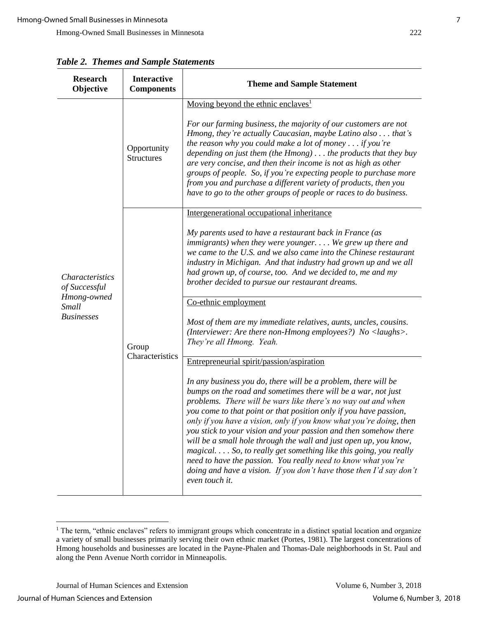| <b>Research</b><br>Objective                                                         | <b>Interactive</b><br><b>Components</b> | <b>Theme and Sample Statement</b>                                                                                                                                                                                                                                                                                                                                                                                                                                                                                                                                                                                                                                                                                                                               |
|--------------------------------------------------------------------------------------|-----------------------------------------|-----------------------------------------------------------------------------------------------------------------------------------------------------------------------------------------------------------------------------------------------------------------------------------------------------------------------------------------------------------------------------------------------------------------------------------------------------------------------------------------------------------------------------------------------------------------------------------------------------------------------------------------------------------------------------------------------------------------------------------------------------------------|
| <b>Characteristics</b><br>of Successful<br>Hmong-owned<br>Small<br><b>Businesses</b> | Opportunity<br><b>Structures</b>        | Moving beyond the ethnic enclaves <sup>1</sup><br>For our farming business, the majority of our customers are not<br>Hmong, they're actually Caucasian, maybe Latino also that's<br>the reason why you could make a lot of money $\ldots$ if you're<br>depending on just them (the $H$ mong) the products that they buy<br>are very concise, and then their income is not as high as other<br>groups of people. So, if you're expecting people to purchase more<br>from you and purchase a different variety of products, then you<br>have to go to the other groups of people or races to do business.                                                                                                                                                         |
|                                                                                      | Group<br>Characteristics                | Intergenerational occupational inheritance<br>My parents used to have a restaurant back in France (as<br>immigrants) when they were younger We grew up there and<br>we came to the U.S. and we also came into the Chinese restaurant<br>industry in Michigan. And that industry had grown up and we all<br>had grown up, of course, too. And we decided to, me and my<br>brother decided to pursue our restaurant dreams.                                                                                                                                                                                                                                                                                                                                       |
|                                                                                      |                                         | Co-ethnic employment<br>Most of them are my immediate relatives, aunts, uncles, cousins.<br>(Interviewer: Are there non-Hmong employees?) No <laughs>.<br/>They're all Hmong. Yeah.</laughs>                                                                                                                                                                                                                                                                                                                                                                                                                                                                                                                                                                    |
|                                                                                      |                                         | Entrepreneurial spirit/passion/aspiration<br>In any business you do, there will be a problem, there will be<br>bumps on the road and sometimes there will be a war, not just<br>problems. There will be wars like there's no way out and when<br>you come to that point or that position only if you have passion,<br>only if you have a vision, only if you know what you're doing, then<br>you stick to your vision and your passion and then somehow there<br>will be a small hole through the wall and just open up, you know,<br>magical So, to really get something like this going, you really<br>need to have the passion. You really need to know what you're<br>doing and have a vision. If you don't have those then I'd say don't<br>even touch it. |

*Table 2. Themes and Sample Statements*

 $\overline{a}$ 

 $1$  The term, "ethnic enclaves" refers to immigrant groups which concentrate in a distinct spatial location and organize a variety of small businesses primarily serving their own ethnic market (Portes, 1981). The largest concentrations of Hmong households and businesses are located in the Payne-Phalen and Thomas-Dale neighborhoods in St. Paul and along the Penn Avenue North corridor in Minneapolis.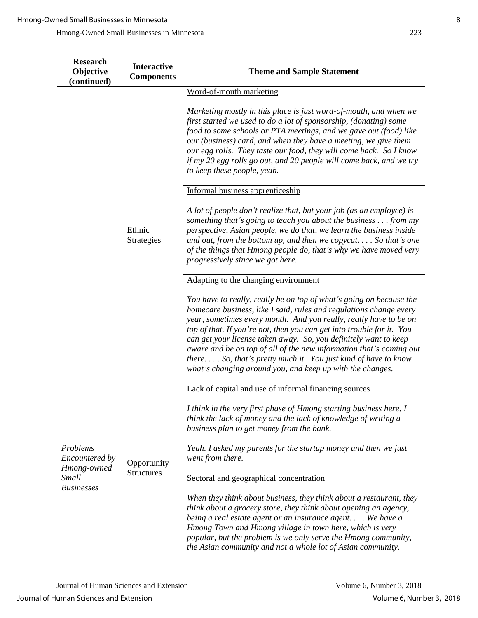| <b>Research</b><br>Objective<br>(continued)                                    | <b>Interactive</b><br><b>Components</b> | <b>Theme and Sample Statement</b>                                                                                                                                                                                                                                                                                                                                                                                                                                                                                                                                                                                                                                                                                                                                                                                                                                                                                                                                                                                                                                                                                                                                                                                                                                                                                                                                                                                                                                                                                                          |
|--------------------------------------------------------------------------------|-----------------------------------------|--------------------------------------------------------------------------------------------------------------------------------------------------------------------------------------------------------------------------------------------------------------------------------------------------------------------------------------------------------------------------------------------------------------------------------------------------------------------------------------------------------------------------------------------------------------------------------------------------------------------------------------------------------------------------------------------------------------------------------------------------------------------------------------------------------------------------------------------------------------------------------------------------------------------------------------------------------------------------------------------------------------------------------------------------------------------------------------------------------------------------------------------------------------------------------------------------------------------------------------------------------------------------------------------------------------------------------------------------------------------------------------------------------------------------------------------------------------------------------------------------------------------------------------------|
|                                                                                | Ethnic<br><b>Strategies</b>             | Word-of-mouth marketing<br>Marketing mostly in this place is just word-of-mouth, and when we<br>first started we used to do a lot of sponsorship, (donating) some<br>food to some schools or PTA meetings, and we gave out (food) like<br>our (business) card, and when they have a meeting, we give them<br>our egg rolls. They taste our food, they will come back. So I know<br>if my 20 egg rolls go out, and 20 people will come back, and we try<br>to keep these people, yeah.<br>Informal business apprenticeship<br>A lot of people don't realize that, but your job (as an employee) is<br>something that's going to teach you about the business $\dots$ from my<br>perspective, Asian people, we do that, we learn the business inside<br>and out, from the bottom up, and then we copycat So that's one<br>of the things that Hmong people do, that's why we have moved very<br>progressively since we got here.<br>Adapting to the changing environment<br>You have to really, really be on top of what's going on because the<br>homecare business, like I said, rules and regulations change every<br>year, sometimes every month. And you really, really have to be on<br>top of that. If you're not, then you can get into trouble for it. You<br>can get your license taken away. So, you definitely want to keep<br>aware and be on top of all of the new information that's coming out<br>there So, that's pretty much it. You just kind of have to know<br>what's changing around you, and keep up with the changes. |
| Problems<br>Encountered by<br>Hmong-owned<br><b>Small</b><br><b>Businesses</b> | Opportunity<br><b>Structures</b>        | Lack of capital and use of informal financing sources<br>I think in the very first phase of Hmong starting business here, I<br>think the lack of money and the lack of knowledge of writing a<br>business plan to get money from the bank.<br>Yeah. I asked my parents for the startup money and then we just<br>went from there.                                                                                                                                                                                                                                                                                                                                                                                                                                                                                                                                                                                                                                                                                                                                                                                                                                                                                                                                                                                                                                                                                                                                                                                                          |
|                                                                                |                                         | Sectoral and geographical concentration                                                                                                                                                                                                                                                                                                                                                                                                                                                                                                                                                                                                                                                                                                                                                                                                                                                                                                                                                                                                                                                                                                                                                                                                                                                                                                                                                                                                                                                                                                    |
|                                                                                |                                         | When they think about business, they think about a restaurant, they<br>think about a grocery store, they think about opening an agency,<br>being a real estate agent or an insurance agent We have a<br>Hmong Town and Hmong village in town here, which is very<br>popular, but the problem is we only serve the Hmong community,<br>the Asian community and not a whole lot of Asian community.                                                                                                                                                                                                                                                                                                                                                                                                                                                                                                                                                                                                                                                                                                                                                                                                                                                                                                                                                                                                                                                                                                                                          |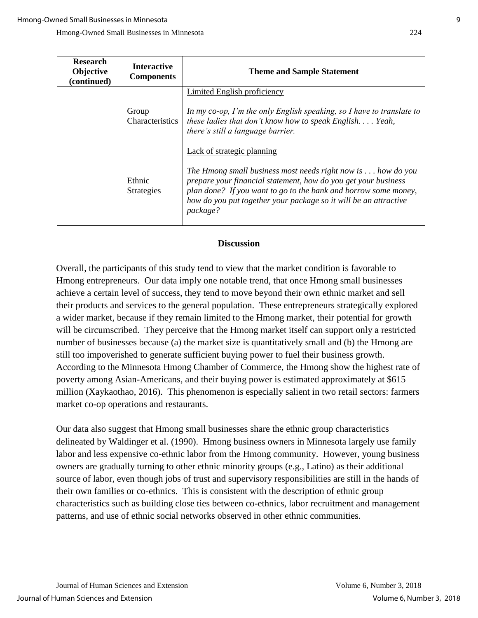| <b>Research</b><br><b>Objective</b><br>(continued) | <b>Interactive</b><br><b>Components</b> | <b>Theme and Sample Statement</b>                                                                                                                                                                                                                                                                                       |
|----------------------------------------------------|-----------------------------------------|-------------------------------------------------------------------------------------------------------------------------------------------------------------------------------------------------------------------------------------------------------------------------------------------------------------------------|
|                                                    | Group<br>Characteristics                | <b>Limited English proficiency</b><br>In my co-op, I'm the only English speaking, so I have to translate to<br>these ladies that don't know how to speak English. $\ldots$ Yeah,<br>there's still a language barrier.                                                                                                   |
|                                                    | Ethnic<br><b>Strategies</b>             | Lack of strategic planning<br>The Hmong small business most needs right now is $\ldots$ how do you<br>prepare your financial statement, how do you get your business<br>plan done? If you want to go to the bank and borrow some money,<br>how do you put together your package so it will be an attractive<br>package? |

## **Discussion**

Overall, the participants of this study tend to view that the market condition is favorable to Hmong entrepreneurs. Our data imply one notable trend, that once Hmong small businesses achieve a certain level of success, they tend to move beyond their own ethnic market and sell their products and services to the general population. These entrepreneurs strategically explored a wider market, because if they remain limited to the Hmong market, their potential for growth will be circumscribed. They perceive that the Hmong market itself can support only a restricted number of businesses because (a) the market size is quantitatively small and (b) the Hmong are still too impoverished to generate sufficient buying power to fuel their business growth. According to the Minnesota Hmong Chamber of Commerce, the Hmong show the highest rate of poverty among Asian-Americans, and their buying power is estimated approximately at \$615 million (Xaykaothao, 2016). This phenomenon is especially salient in two retail sectors: farmers market co-op operations and restaurants.

Our data also suggest that Hmong small businesses share the ethnic group characteristics delineated by Waldinger et al. (1990). Hmong business owners in Minnesota largely use family labor and less expensive co-ethnic labor from the Hmong community. However, young business owners are gradually turning to other ethnic minority groups (e.g., Latino) as their additional source of labor, even though jobs of trust and supervisory responsibilities are still in the hands of their own families or co-ethnics. This is consistent with the description of ethnic group characteristics such as building close ties between co-ethnics, labor recruitment and management patterns, and use of ethnic social networks observed in other ethnic communities.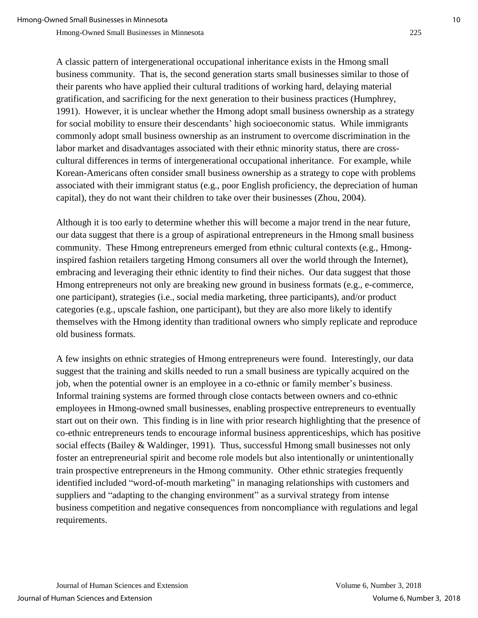A classic pattern of intergenerational occupational inheritance exists in the Hmong small business community. That is, the second generation starts small businesses similar to those of their parents who have applied their cultural traditions of working hard, delaying material gratification, and sacrificing for the next generation to their business practices (Humphrey, 1991). However, it is unclear whether the Hmong adopt small business ownership as a strategy for social mobility to ensure their descendants' high socioeconomic status. While immigrants commonly adopt small business ownership as an instrument to overcome discrimination in the labor market and disadvantages associated with their ethnic minority status, there are crosscultural differences in terms of intergenerational occupational inheritance. For example, while Korean-Americans often consider small business ownership as a strategy to cope with problems associated with their immigrant status (e.g., poor English proficiency, the depreciation of human capital), they do not want their children to take over their businesses (Zhou, 2004).

Although it is too early to determine whether this will become a major trend in the near future, our data suggest that there is a group of aspirational entrepreneurs in the Hmong small business community. These Hmong entrepreneurs emerged from ethnic cultural contexts (e.g., Hmonginspired fashion retailers targeting Hmong consumers all over the world through the Internet), embracing and leveraging their ethnic identity to find their niches. Our data suggest that those Hmong entrepreneurs not only are breaking new ground in business formats (e.g., e-commerce, one participant), strategies (i.e., social media marketing, three participants), and/or product categories (e.g., upscale fashion, one participant), but they are also more likely to identify themselves with the Hmong identity than traditional owners who simply replicate and reproduce old business formats.

A few insights on ethnic strategies of Hmong entrepreneurs were found. Interestingly, our data suggest that the training and skills needed to run a small business are typically acquired on the job, when the potential owner is an employee in a co-ethnic or family member's business. Informal training systems are formed through close contacts between owners and co-ethnic employees in Hmong-owned small businesses, enabling prospective entrepreneurs to eventually start out on their own. This finding is in line with prior research highlighting that the presence of co-ethnic entrepreneurs tends to encourage informal business apprenticeships, which has positive social effects (Bailey & Waldinger, 1991). Thus, successful Hmong small businesses not only foster an entrepreneurial spirit and become role models but also intentionally or unintentionally train prospective entrepreneurs in the Hmong community. Other ethnic strategies frequently identified included "word-of-mouth marketing" in managing relationships with customers and suppliers and "adapting to the changing environment" as a survival strategy from intense business competition and negative consequences from noncompliance with regulations and legal requirements.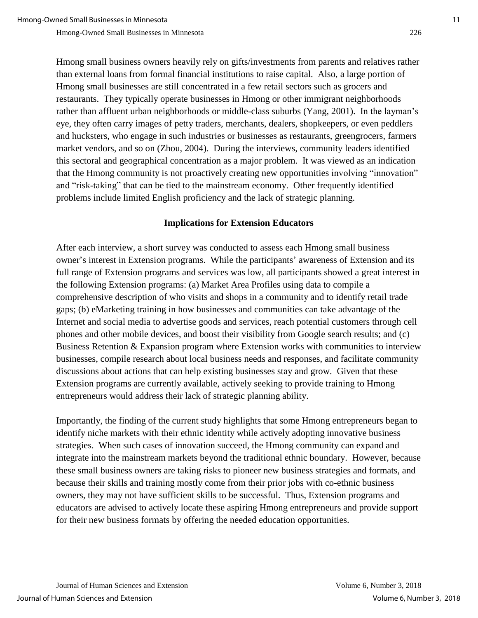Hmong small business owners heavily rely on gifts/investments from parents and relatives rather than external loans from formal financial institutions to raise capital. Also, a large portion of Hmong small businesses are still concentrated in a few retail sectors such as grocers and restaurants. They typically operate businesses in Hmong or other immigrant neighborhoods rather than affluent urban neighborhoods or middle-class suburbs (Yang, 2001). In the layman's eye, they often carry images of petty traders, merchants, dealers, shopkeepers, or even peddlers and hucksters, who engage in such industries or businesses as restaurants, greengrocers, farmers market vendors, and so on (Zhou, 2004). During the interviews, community leaders identified this sectoral and geographical concentration as a major problem. It was viewed as an indication that the Hmong community is not proactively creating new opportunities involving "innovation" and "risk-taking" that can be tied to the mainstream economy. Other frequently identified problems include limited English proficiency and the lack of strategic planning.

### **Implications for Extension Educators**

After each interview, a short survey was conducted to assess each Hmong small business owner's interest in Extension programs. While the participants' awareness of Extension and its full range of Extension programs and services was low, all participants showed a great interest in the following Extension programs: (a) Market Area Profiles using data to compile a comprehensive description of who visits and shops in a community and to identify retail trade gaps; (b) eMarketing training in how businesses and communities can take advantage of the Internet and social media to advertise goods and services, reach potential customers through cell phones and other mobile devices, and boost their visibility from Google search results; and (c) Business Retention & Expansion program where Extension works with communities to interview businesses, compile research about local business needs and responses, and facilitate community discussions about actions that can help existing businesses stay and grow. Given that these Extension programs are currently available, actively seeking to provide training to Hmong entrepreneurs would address their lack of strategic planning ability.

Importantly, the finding of the current study highlights that some Hmong entrepreneurs began to identify niche markets with their ethnic identity while actively adopting innovative business strategies. When such cases of innovation succeed, the Hmong community can expand and integrate into the mainstream markets beyond the traditional ethnic boundary. However, because these small business owners are taking risks to pioneer new business strategies and formats, and because their skills and training mostly come from their prior jobs with co-ethnic business owners, they may not have sufficient skills to be successful. Thus, Extension programs and educators are advised to actively locate these aspiring Hmong entrepreneurs and provide support for their new business formats by offering the needed education opportunities.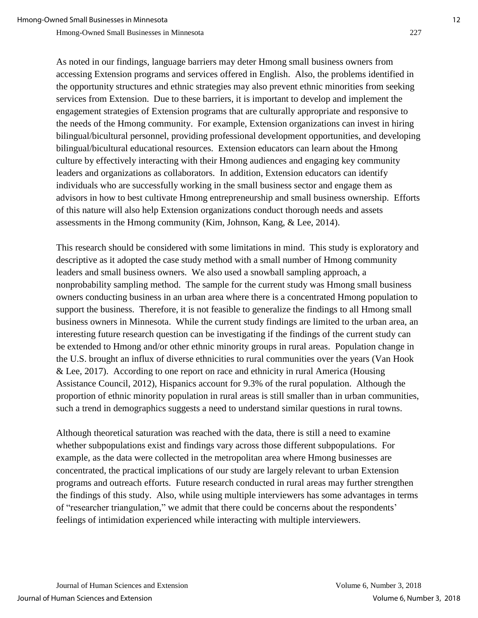As noted in our findings, language barriers may deter Hmong small business owners from accessing Extension programs and services offered in English. Also, the problems identified in the opportunity structures and ethnic strategies may also prevent ethnic minorities from seeking services from Extension. Due to these barriers, it is important to develop and implement the engagement strategies of Extension programs that are culturally appropriate and responsive to the needs of the Hmong community. For example, Extension organizations can invest in hiring bilingual/bicultural personnel, providing professional development opportunities, and developing bilingual/bicultural educational resources. Extension educators can learn about the Hmong culture by effectively interacting with their Hmong audiences and engaging key community leaders and organizations as collaborators. In addition, Extension educators can identify individuals who are successfully working in the small business sector and engage them as advisors in how to best cultivate Hmong entrepreneurship and small business ownership. Efforts of this nature will also help Extension organizations conduct thorough needs and assets assessments in the Hmong community (Kim, Johnson, Kang, & Lee, 2014).

This research should be considered with some limitations in mind. This study is exploratory and descriptive as it adopted the case study method with a small number of Hmong community leaders and small business owners. We also used a snowball sampling approach, a nonprobability sampling method. The sample for the current study was Hmong small business owners conducting business in an urban area where there is a concentrated Hmong population to support the business. Therefore, it is not feasible to generalize the findings to all Hmong small business owners in Minnesota. While the current study findings are limited to the urban area, an interesting future research question can be investigating if the findings of the current study can be extended to Hmong and/or other ethnic minority groups in rural areas. Population change in the U.S. brought an influx of diverse ethnicities to rural communities over the years (Van Hook & Lee, 2017). According to one report on race and ethnicity in rural America (Housing Assistance Council, 2012), Hispanics account for 9.3% of the rural population. Although the proportion of ethnic minority population in rural areas is still smaller than in urban communities, such a trend in demographics suggests a need to understand similar questions in rural towns.

Although theoretical saturation was reached with the data, there is still a need to examine whether subpopulations exist and findings vary across those different subpopulations. For example, as the data were collected in the metropolitan area where Hmong businesses are concentrated, the practical implications of our study are largely relevant to urban Extension programs and outreach efforts. Future research conducted in rural areas may further strengthen the findings of this study. Also, while using multiple interviewers has some advantages in terms of "researcher triangulation," we admit that there could be concerns about the respondents' feelings of intimidation experienced while interacting with multiple interviewers.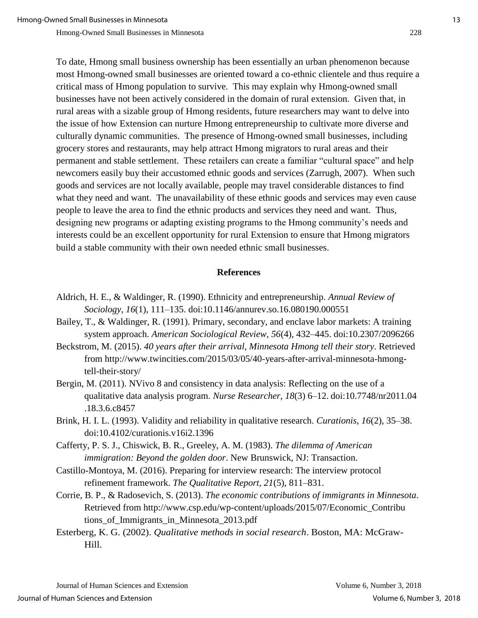To date, Hmong small business ownership has been essentially an urban phenomenon because most Hmong-owned small businesses are oriented toward a co-ethnic clientele and thus require a critical mass of Hmong population to survive. This may explain why Hmong-owned small businesses have not been actively considered in the domain of rural extension. Given that, in rural areas with a sizable group of Hmong residents, future researchers may want to delve into the issue of how Extension can nurture Hmong entrepreneurship to cultivate more diverse and culturally dynamic communities. The presence of Hmong-owned small businesses, including grocery stores and restaurants, may help attract Hmong migrators to rural areas and their permanent and stable settlement. These retailers can create a familiar "cultural space" and help newcomers easily buy their accustomed ethnic goods and services (Zarrugh, 2007). When such goods and services are not locally available, people may travel considerable distances to find what they need and want. The unavailability of these ethnic goods and services may even cause people to leave the area to find the ethnic products and services they need and want. Thus, designing new programs or adapting existing programs to the Hmong community's needs and interests could be an excellent opportunity for rural Extension to ensure that Hmong migrators build a stable community with their own needed ethnic small businesses.

#### **References**

- Aldrich, H. E., & Waldinger, R. (1990). Ethnicity and entrepreneurship. *Annual Review of Sociology, 16*(1), 111–135. doi:10.1146/annurev.so.16.080190.000551
- Bailey, T., & Waldinger, R. (1991). Primary, secondary, and enclave labor markets: A training system approach. *American Sociological Review, 56*(4), 432–445. doi:10.2307/2096266
- Beckstrom, M. (2015). *40 years after their arrival, Minnesota Hmong tell their story*. Retrieved from http://www.twincities.com/2015/03/05/40-years-after-arrival-minnesota-hmongtell-their-story/
- Bergin, M. (2011). NVivo 8 and consistency in data analysis: Reflecting on the use of a qualitative data analysis program. *Nurse Researcher, 18*(3) 6–12. doi:10.7748/nr2011.04 .18.3.6.c8457
- Brink, H. I. L. (1993). Validity and reliability in qualitative research. *Curationis, 16*(2), 35–38. doi:10.4102/curationis.v16i2.1396
- Cafferty, P. S. J., Chiswick, B. R., Greeley, A. M. (1983). *The dilemma of American immigration: Beyond the golden door*. New Brunswick, NJ: Transaction.
- Castillo-Montoya, M. (2016). Preparing for interview research: The interview protocol refinement framework. *The Qualitative Report, 21*(5), 811–831.
- Corrie, B. P., & Radosevich, S. (2013). *The economic contributions of immigrants in Minnesota*. Retrieved from http://www.csp.edu/wp-content/uploads/2015/07/Economic\_Contribu tions\_of\_Immigrants\_in\_Minnesota\_2013.pdf
- Esterberg, K. G. (2002). *Qualitative methods in social research*. Boston, MA: McGraw-Hill.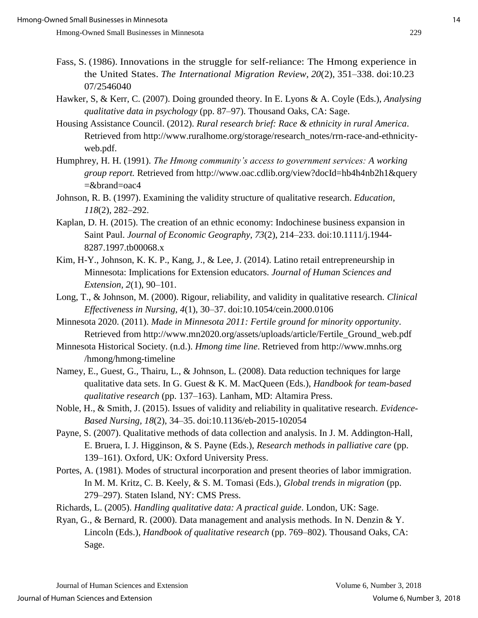- Fass, S. (1986). Innovations in the struggle for self-reliance: The Hmong experience in the United States. *The International Migration Review, 20*(2), 351–338. doi:10.23 07/2546040
- Hawker, S, & Kerr, C. (2007). Doing grounded theory. In E. Lyons & A. Coyle (Eds.), *Analysing qualitative data in psychology* (pp. 87–97). Thousand Oaks, CA: Sage.
- Housing Assistance Council. (2012). *Rural research brief: Race & ethnicity in rural America*. Retrieved from http://www.ruralhome.org/storage/research\_notes/rrn-race-and-ethnicityweb.pdf.
- Humphrey, H. H. (1991). *The Hmong community's access to government services: A working group report.* Retrieved from http://www.oac.cdlib.org/view?docId=hb4h4nb2h1&query  $=\&\text{brand}=\text{oac4}$
- Johnson, R. B. (1997). Examining the validity structure of qualitative research. *Education, 118*(2)*,* 282–292.
- Kaplan, D. H. (2015). The creation of an ethnic economy: Indochinese business expansion in Saint Paul. *Journal of Economic Geography, 73*(2), 214–233. doi:10.1111/j.1944- 8287.1997.tb00068.x
- Kim, H-Y., Johnson, K. K. P., Kang, J., & Lee, J. (2014). Latino retail entrepreneurship in Minnesota: Implications for Extension educators. *Journal of Human Sciences and Extension, 2*(1), 90–101.
- Long, T., & Johnson, M. (2000). Rigour, reliability, and validity in qualitative research. *Clinical Effectiveness in Nursing, 4*(1), 30–37. doi:10.1054/cein.2000.0106
- Minnesota 2020. (2011). *Made in Minnesota 2011: Fertile ground for minority opportunity*. Retrieved from http://www.mn2020.org/assets/uploads/article/Fertile\_Ground\_web.pdf
- Minnesota Historical Society. (n.d.). *Hmong time line*. Retrieved from http://www.mnhs.org /hmong/hmong-timeline
- Namey, E., Guest, G., Thairu, L., & Johnson, L. (2008). Data reduction techniques for large qualitative data sets. In G. Guest & K. M. MacQueen (Eds.), *Handbook for team-based qualitative research* (pp. 137–163). Lanham, MD: Altamira Press.
- Noble, H., & Smith, J. (2015). Issues of validity and reliability in qualitative research. *Evidence-Based Nursing, 18*(2), 34–35. doi:10.1136/eb-2015-102054
- Payne, S. (2007). Qualitative methods of data collection and analysis. In J. M. Addington-Hall, E. Bruera, I. J. Higginson, & S. Payne (Eds.), *Research methods in palliative care* (pp. 139–161). Oxford, UK: Oxford University Press.
- Portes, A. (1981). Modes of structural incorporation and present theories of labor immigration. In M. M. Kritz, C. B. Keely, & S. M. Tomasi (Eds.), *Global trends in migration* (pp. 279–297). Staten Island, NY: CMS Press.
- Richards, L. (2005). *Handling qualitative data: A practical guide*. London, UK: Sage.
- Ryan, G., & Bernard, R. (2000). Data management and analysis methods. In N. Denzin & Y. Lincoln (Eds.), *Handbook of qualitative research* (pp. 769–802). Thousand Oaks, CA: Sage.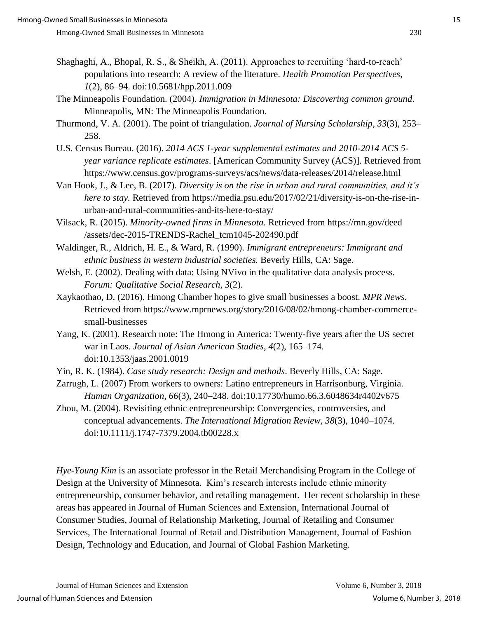- Shaghaghi, A., Bhopal, R. S., & Sheikh, A. (2011). Approaches to recruiting 'hard-to-reach' populations into research: A review of the literature. *Health Promotion Perspectives, 1*(2), 86–94. doi:10.5681/hpp.2011.009
- The Minneapolis Foundation. (2004). *Immigration in Minnesota: Discovering common ground*. Minneapolis, MN: The Minneapolis Foundation.
- Thurmond, V. A. (2001). The point of triangulation. *Journal of Nursing Scholarship, 33*(3), 253– 258.
- U.S. Census Bureau. (2016). *2014 ACS 1-year supplemental estimates and 2010-2014 ACS 5 year variance replicate estimates*. [American Community Survey (ACS)]. Retrieved from https://www.census.gov/programs-surveys/acs/news/data-releases/2014/release.html
- Van Hook, J., & Lee, B. (2017). *Diversity is on the rise in urban and rural communities, and it's here to stay.* Retrieved from https://media.psu.edu/2017/02/21/diversity-is-on-the-rise-inurban-and-rural-communities-and-its-here-to-stay/
- Vilsack, R. (2015). *Minority-owned firms in Minnesota*. Retrieved from https://mn.gov/deed /assets/dec-2015-TRENDS-Rachel\_tcm1045-202490.pdf
- Waldinger, R., Aldrich, H. E., & Ward, R. (1990). *Immigrant entrepreneurs: Immigrant and ethnic business in western industrial societies.* Beverly Hills, CA: Sage.
- Welsh, E. (2002). Dealing with data: Using NVivo in the qualitative data analysis process. *Forum: Qualitative Social Research, 3*(2).
- Xaykaothao, D. (2016). Hmong Chamber hopes to give small businesses a boost. *MPR News*. Retrieved from https://www.mprnews.org/story/2016/08/02/hmong-chamber-commercesmall-businesses
- Yang, K. (2001). Research note: The Hmong in America: Twenty-five years after the US secret war in Laos. *Journal of Asian American Studies*, *4*(2), 165–174. doi:10.1353/jaas.2001.0019
- Yin, R. K. (1984). *Case study research: Design and methods*. Beverly Hills, CA: Sage.
- Zarrugh, L. (2007) From workers to owners: Latino entrepreneurs in Harrisonburg, Virginia. *Human Organization, 66*(3), 240–248. doi:10.17730/humo.66.3.6048634r4402v675
- Zhou, M. (2004). Revisiting ethnic entrepreneurship: Convergencies, controversies, and conceptual advancements. *The International Migration Review, 38*(3), 1040–1074. doi:10.1111/j.1747-7379.2004.tb00228.x

*Hye-Young Kim* is an associate professor in the Retail Merchandising Program in the College of Design at the University of Minnesota. Kim's research interests include ethnic minority entrepreneurship, consumer behavior, and retailing management. Her recent scholarship in these areas has appeared in Journal of Human Sciences and Extension, International Journal of Consumer Studies, Journal of Relationship Marketing, Journal of Retailing and Consumer Services, The International Journal of Retail and Distribution Management, Journal of Fashion Design, Technology and Education, and Journal of Global Fashion Marketing.